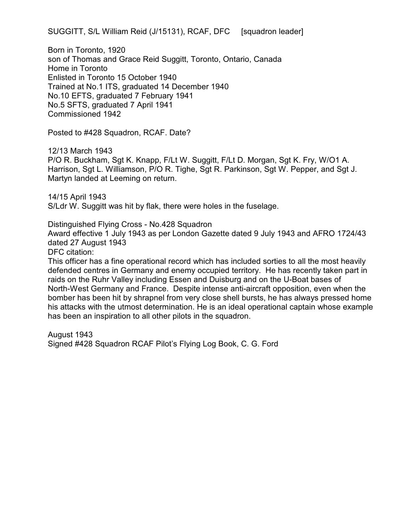SUGGITT, S/L William Reid (J/15131), RCAF, DFC [squadron leader]

Born in Toronto, 1920 son of Thomas and Grace Reid Suggitt, Toronto, Ontario, Canada Home in Toronto Enlisted in Toronto 15 October 1940 Trained at No.1 ITS, graduated 14 December 1940 No.10 EFTS, graduated 7 February 1941 No.5 SFTS, graduated 7 April 1941 Commissioned 1942

Posted to #428 Squadron, RCAF. Date?

12/13 March 1943

P/O R. Buckham, Sgt K. Knapp, F/Lt W. Suggitt, F/Lt D. Morgan, Sgt K. Fry, W/O1 A. Harrison, Sgt L. Williamson, P/O R. Tighe, Sgt R. Parkinson, Sgt W. Pepper, and Sgt J. Martyn landed at Leeming on return.

14/15 April 1943 S/Ldr W. Suggitt was hit by flak, there were holes in the fuselage.

Distinguished Flying Cross - No.428 Squadron

Award effective 1 July 1943 as per London Gazette dated 9 July 1943 and AFRO 1724/43 dated 27 August 1943

DFC citation:

This officer has a fine operational record which has included sorties to all the most heavily defended centres in Germany and enemy occupied territory. He has recently taken part in raids on the Ruhr Valley including Essen and Duisburg and on the U-Boat bases of North-West Germany and France. Despite intense anti-aircraft opposition, even when the bomber has been hit by shrapnel from very close shell bursts, he has always pressed home his attacks with the utmost determination. He is an ideal operational captain whose example has been an inspiration to all other pilots in the squadron.

August 1943

Signed #428 Squadron RCAF Pilot's Flying Log Book, C. G. Ford